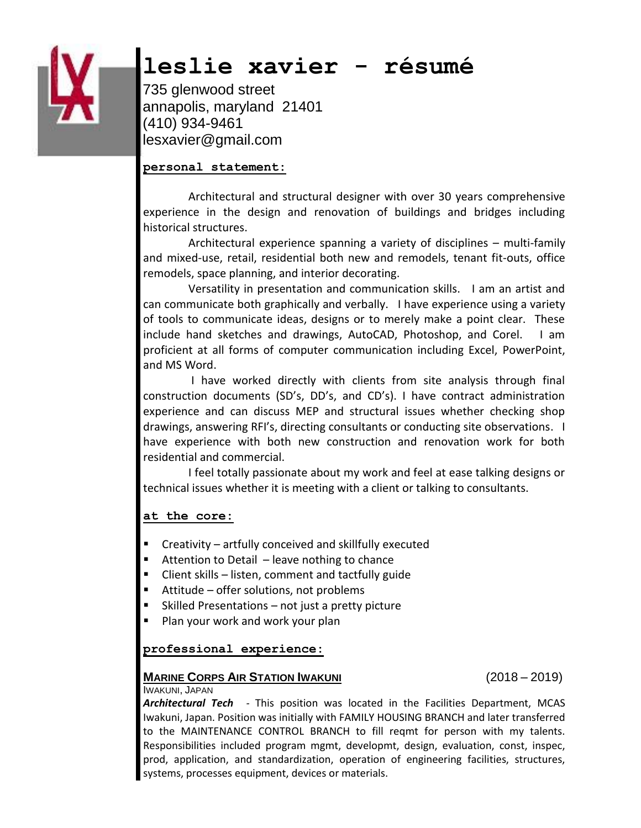

# **leslie xavier - résumé**

735 glenwood street annapolis, maryland 21401 (410) 934-9461 lesxavier@gmail.com

#### **personal statement:**

Architectural and structural designer with over 30 years comprehensive experience in the design and renovation of buildings and bridges including historical structures.

Architectural experience spanning a variety of disciplines – multi-family and mixed-use, retail, residential both new and remodels, tenant fit-outs, office remodels, space planning, and interior decorating.

Versatility in presentation and communication skills. I am an artist and can communicate both graphically and verbally. I have experience using a variety of tools to communicate ideas, designs or to merely make a point clear. These include hand sketches and drawings, AutoCAD, Photoshop, and Corel. I am proficient at all forms of computer communication including Excel, PowerPoint, and MS Word.

I have worked directly with clients from site analysis through final construction documents (SD's, DD's, and CD's). I have contract administration experience and can discuss MEP and structural issues whether checking shop drawings, answering RFI's, directing consultants or conducting site observations. I have experience with both new construction and renovation work for both residential and commercial.

I feel totally passionate about my work and feel at ease talking designs or technical issues whether it is meeting with a client or talking to consultants.

#### **at the core:**

- Creativity artfully conceived and skillfully executed
- Attention to Detail leave nothing to chance
- Client skills listen, comment and tactfully guide
- Attitude offer solutions, not problems
- Skilled Presentations not just a pretty picture
- Plan your work and work your plan

#### **professional experience:**

# **MARINE CORPS AIR STATION IWAKUNI** (2018 – 2019)

#### IWAKUNI, JAPAN

*Architectural Tech -* This position was located in the Facilities Department, MCAS Iwakuni, Japan. Position was initially with FAMILY HOUSING BRANCH and later transferred to the MAINTENANCE CONTROL BRANCH to fill reqmt for person with my talents. Responsibilities included program mgmt, developmt, design, evaluation, const, inspec, prod, application, and standardization, operation of engineering facilities, structures, systems, processes equipment, devices or materials.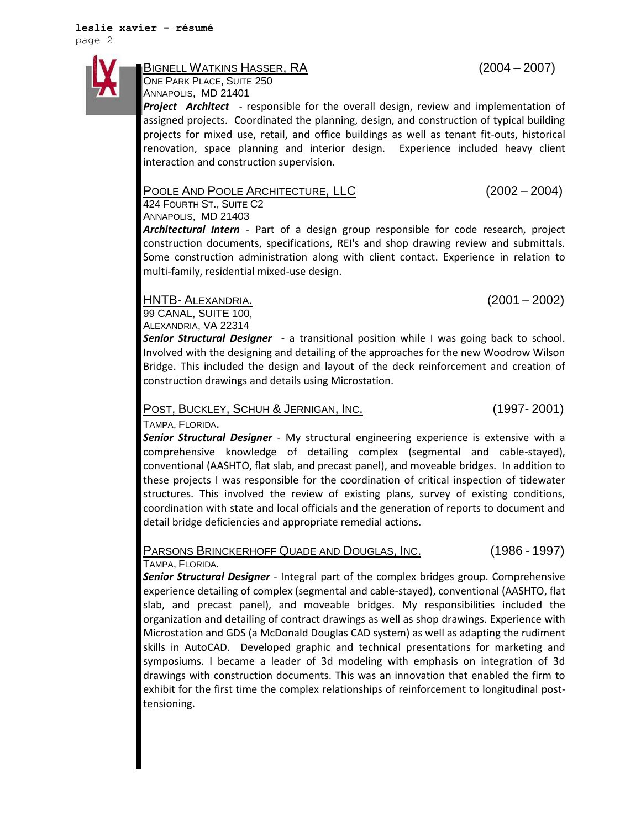# BIGNELL WATKINS HASSER, RA (2004 – 2007)

ONE PARK PLACE, SUITE 250 ANNAPOLIS, MD 21401

*Project Architect -* responsible for the overall design, review and implementation of assigned projects. Coordinated the planning, design, and construction of typical building projects for mixed use, retail, and office buildings as well as tenant fit-outs, historical renovation, space planning and interior design. Experience included heavy client interaction and construction supervision.

## POOLE AND POOLE ARCHITECTURE, LLC (2002 – 2004)

424 FOURTH ST., SUITE C2 ANNAPOLIS, MD 21403

*Architectural Intern -* Part of a design group responsible for code research, project construction documents, specifications, REI's and shop drawing review and submittals. Some construction administration along with client contact. Experience in relation to multi-family, residential mixed-use design.

#### HNTB- ALEXANDRIA. (2001 – 2002)

99 CANAL, SUITE 100, ALEXANDRIA, VA 22314

*Senior Structural Designer* - a transitional position while I was going back to school. Involved with the designing and detailing of the approaches for the new Woodrow Wilson Bridge. This included the design and layout of the deck reinforcement and creation of construction drawings and details using Microstation.

### POST, BUCKLEY, SCHUH & JERNIGAN, INC. (1997- 2001)

TAMPA, FLORIDA.

*Senior Structural Designer* - My structural engineering experience is extensive with a comprehensive knowledge of detailing complex (segmental and cable-stayed), conventional (AASHTO, flat slab, and precast panel), and moveable bridges. In addition to these projects I was responsible for the coordination of critical inspection of tidewater structures. This involved the review of existing plans, survey of existing conditions, coordination with state and local officials and the generation of reports to document and detail bridge deficiencies and appropriate remedial actions.

#### PARSONS BRINCKERHOFF QUADE AND DOUGLAS, INC. (1986 - 1997) TAMPA, FLORIDA.

*Senior Structural Designer* - Integral part of the complex bridges group. Comprehensive experience detailing of complex (segmental and cable-stayed), conventional (AASHTO, flat slab, and precast panel), and moveable bridges. My responsibilities included the organization and detailing of contract drawings as well as shop drawings. Experience with Microstation and GDS (a McDonald Douglas CAD system) as well as adapting the rudiment skills in AutoCAD. Developed graphic and technical presentations for marketing and symposiums. I became a leader of 3d modeling with emphasis on integration of 3d drawings with construction documents. This was an innovation that enabled the firm to exhibit for the first time the complex relationships of reinforcement to longitudinal posttensioning.